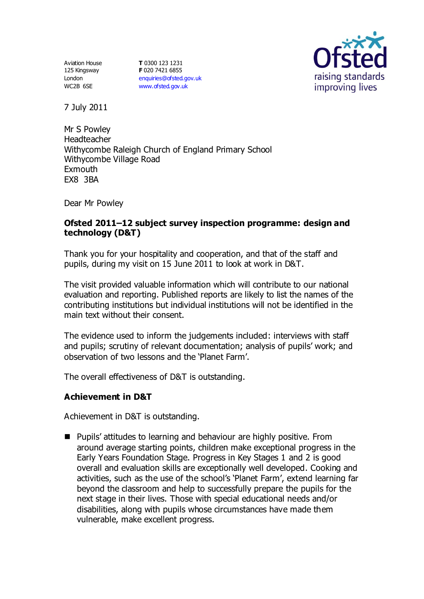Aviation House 125 Kingsway London WC2B 6SE

**T** 0300 123 1231 **F** 020 7421 6855 [enquiries@ofsted.gov.uk](mailto:enquiries@ofsted.gov.uk) [www.ofsted.gov.uk](http://www.ofsted.gov.uk/)



7 July 2011

Mr S Powley Headteacher Withycombe Raleigh Church of England Primary School Withycombe Village Road **Exmouth** EX8 3BA

Dear Mr Powley

### **Ofsted 2011–12 subject survey inspection programme: design and technology (D&T)**

Thank you for your hospitality and cooperation, and that of the staff and pupils, during my visit on 15 June 2011 to look at work in D&T.

The visit provided valuable information which will contribute to our national evaluation and reporting. Published reports are likely to list the names of the contributing institutions but individual institutions will not be identified in the main text without their consent.

The evidence used to inform the judgements included: interviews with staff and pupils; scrutiny of relevant documentation; analysis of pupils' work; and observation of two lessons and the 'Planet Farm'.

The overall effectiveness of D&T is outstanding.

### **Achievement in D&T**

Achievement in D&T is outstanding.

 $\blacksquare$  Pupils' attitudes to learning and behaviour are highly positive. From around average starting points, children make exceptional progress in the Early Years Foundation Stage. Progress in Key Stages 1 and 2 is good overall and evaluation skills are exceptionally well developed. Cooking and activities, such as the use of the school's 'Planet Farm', extend learning far beyond the classroom and help to successfully prepare the pupils for the next stage in their lives. Those with special educational needs and/or disabilities, along with pupils whose circumstances have made them vulnerable, make excellent progress.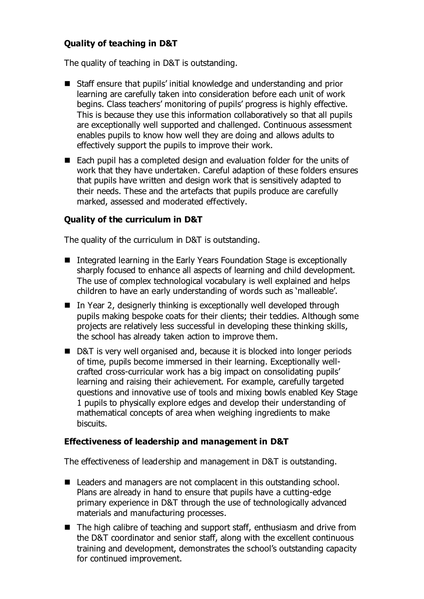# **Quality of teaching in D&T**

The quality of teaching in D&T is outstanding.

- Staff ensure that pupils' initial knowledge and understanding and prior learning are carefully taken into consideration before each unit of work begins. Class teachers' monitoring of pupils' progress is highly effective. This is because they use this information collaboratively so that all pupils are exceptionally well supported and challenged. Continuous assessment enables pupils to know how well they are doing and allows adults to effectively support the pupils to improve their work.
- Each pupil has a completed design and evaluation folder for the units of work that they have undertaken. Careful adaption of these folders ensures that pupils have written and design work that is sensitively adapted to their needs. These and the artefacts that pupils produce are carefully marked, assessed and moderated effectively.

#### **Quality of the curriculum in D&T**

The quality of the curriculum in D&T is outstanding.

- Integrated learning in the Early Years Foundation Stage is exceptionally sharply focused to enhance all aspects of learning and child development. The use of complex technological vocabulary is well explained and helps children to have an early understanding of words such as 'malleable'.
- In Year 2, designerly thinking is exceptionally well developed through pupils making bespoke coats for their clients; their teddies. Although some projects are relatively less successful in developing these thinking skills, the school has already taken action to improve them.
- D&T is very well organised and, because it is blocked into longer periods of time, pupils become immersed in their learning. Exceptionally wellcrafted cross-curricular work has a big impact on consolidating pupils' learning and raising their achievement. For example, carefully targeted questions and innovative use of tools and mixing bowls enabled Key Stage 1 pupils to physically explore edges and develop their understanding of mathematical concepts of area when weighing ingredients to make biscuits.

#### **Effectiveness of leadership and management in D&T**

The effectiveness of leadership and management in D&T is outstanding.

- Leaders and managers are not complacent in this outstanding school. Plans are already in hand to ensure that pupils have a cutting-edge primary experience in D&T through the use of technologically advanced materials and manufacturing processes.
- The high calibre of teaching and support staff, enthusiasm and drive from the D&T coordinator and senior staff, along with the excellent continuous training and development, demonstrates the school's outstanding capacity for continued improvement.